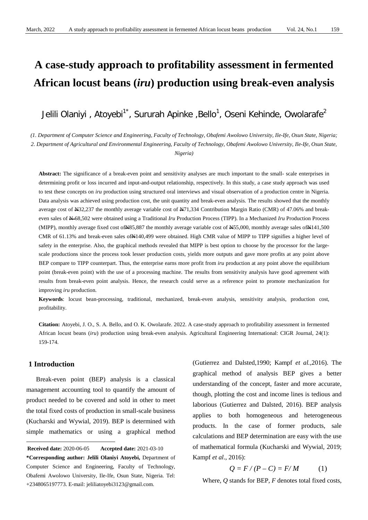# **A case-study approach to profitability assessment in fermented African locust beans (***iru***) production using break-even analysis**

Jelili Olaniyi , Atoyebi $^{1^\star}$ , Sururah Apinke ,Bello $^1$ , Oseni Kehinde, Owolarafe $^2$ 

*(1. Department of Computer Science and Engineering, Faculty of Technology, Obafemi Awolowo University, Ile-Ife, Osun State, Nigeria; 2. Department of Agricultural and Environmental Engineering, Faculty of Technology, Obafemi Awolowo University, Ile-Ife, Osun State, Nigeria)*

**Abstract:** The significance of a break-even point and sensitivity analyses are much important to the small- scale enterprises in determining profit or loss incurred and input-and-output relationship, respectively. In this study, a case study approach was used to test these concepts on *iru* production using structured oral interviews and visual observation of a production centre in Nigeria. Data analysis was achieved using production cost, the unit quantity and break-even analysis. The results showed that the monthly average cost of N32,237 the monthly average variable cost of N71,334 Contribution Margin Ratio (CMR) of 47.06% and breakeven sales of  $\frac{N-68}{502}$  were obtained using a Traditional *Iru* Production Process (TIPP). In a Mechanized *Iru* Production Process (MIPP), monthly average fixed cost ofN85,887 the monthly average variable cost of N55,000, monthly average sales ofN141,500 CMR of  $61.13\%$  and break-even sales of $\frac{N}{4}140,499$  were obtained. High CMR value of MIPP to TIPP signifies a higher level of safety in the enterprise. Also, the graphical methods revealed that MIPP is best option to choose by the processor for the largescale productions since the process took lesser production costs, yields more outputs and gave more profits at any point above BEP compare to TIPP counterpart. Thus, the enterprise earns more profit from *iru* production at any point above the equilibrium point (break-even point) with the use of a processing machine. The results from sensitivity analysis have good agreement with results from break-even point analysis. Hence, the research could serve as a reference point to promote mechanization for improving *iru* production.

**Keywords**: locust bean-processing, traditional, mechanized, break-even analysis, sensitivity analysis, production cost, profitability.

**Citation:** Atoyebi, J. O., S. A. Bello, and O. K. Owolarafe. 2022. A case-study approach to profitability assessment in fermented African locust beans (*iru*) production using break-even analysis. Agricultural Engineering International: CIGR Journal, 24(1): 159-174.

## **1 Introduction**

-

Break-even point (BEP) analysis is a classical management accounting tool to quantify the amount of product needed to be covered and sold in other to meet the total fixed costs of production in small-scale business (Kucharski and Wywial, 2019). BEP is determined with simple mathematics or using a graphical method

(Gutierrez and Dalsted,1990; Kampf *et al.,*2016). The graphical method of analysis BEP gives a better understanding of the concept, faster and more accurate, though, plotting the cost and income lines is tedious and laborious (Gutierrez and Dalsted, 2016). BEP analysis applies to both homogeneous and heterogeneous products. In the case of former products, sale calculations and BEP determination are easy with the use of mathematical formula (Kucharski and Wywial, 2019; Kampf *et al*., 2016):

$$
Q = F/(P - C) = F/M \tag{1}
$$

Where*, Q* stands for BEP, *F* denotes total fixed costs,

<span id="page-0-0"></span>**Received date: 2020-06-05 Received date:** 2020-06-05 **Accepted date:** 2021-03-10 **\*Corresponding author: Jelili Olaniyi Atoyebi,** Department of Computer Science and Engineering, Faculty of Technology, Obafemi Awolowo University, Ile-Ife, Osun State, Nigeria. Tel: +2348065197773. E-mail: jeliliatoyebi3123@gmail.com.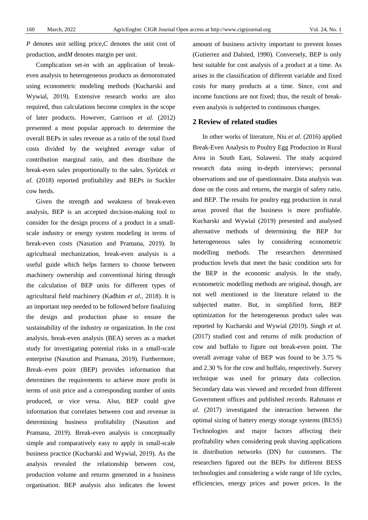*P* denotes unit selling price,*C* denotes the unit cost of production, and*M* denotes margin per unit.

Complication set-in with an application of breakeven analysis to heterogeneous products as demonstrated using econometric modeling methods (Kucharski and Wywial, 2019). Extensive research works are also required, thus calculations become complex in the scope of later products. However, Garrison *et al.* (2012) presented a most popular approach to determine the overall BEPs in sales revenue as a ratio of the total fixed costs divided by the weighted average value of contribution marginal ratio, and then distribute the break-even sales proportionally to the sales. Syrůček *et al.* (2018) reported profitability and BEPs in Suckler cow herds.

Given the strength and weakness of break-even analysis, BEP is an accepted decision-making tool to consider for the design process of a product in a smallscale industry or energy system modeling in terms of break-even costs (Nasution and Pramana, 2019). In agricultural mechanization, break-even analysis is a useful guide which helps farmers to choose between machinery ownership and conventional hiring through the calculation of BEP units for different types of agricultural field machinery (Kadhim *et al.,* 2018). It is an important step needed to be followed before finalizing the design and production phase to ensure the sustainability of the industry or organization. In the cost analysis, break-even analysis (BEA) serves as a market study for investigating potential risks in a small-scale enterprise (Nasution and Pramana, 2019). Furthermore, Break–even point (BEP) provides information that determines the requirements to achieve more profit in terms of unit price and a corresponding number of units produced, or vice versa. Also, BEP could give information that correlates between cost and revenue in determining business profitability (Nasution and Pramana, 2019). Break-even analysis is conceptually simple and comparatively easy to apply in small-scale business practice (Kucharski and Wywial, 2019). As the analysis revealed the relationship between cost, production volume and returns generated in a business organisation. BEP analysis also indicates the lowest amount of business activity important to prevent losses (Gutierrez and Dalsted, 1990). Conversely, BEP is only best suitable for cost analysis of a product at a time. As arises in the classification of different variable and fixed costs for many products at a time. Since, cost and income functions are not fixed; thus, the result of breakeven analysis is subjected to continuous changes.

#### **2 Review of related studies**

In other works of literature, Niu *et al*. (2016) applied Break-Even Analysis to Poultry Egg Production in Rural Area in South East, Sulawesi. The study acquired research data using in-depth interviews; personal observations and use of questionnaire. Data analysis was done on the costs and returns, the margin of safety ratio, and BEP. The results for poultry egg production in rural areas proved that the business is more profitable. Kucharski and Wywial (2019) presented and analysed alternative methods of determining the BEP for heterogeneous sales by considering econometric modelling methods. The researchers determined production levels that meet the basic condition sets for the BEP in the economic analysis. In the study, econometric modelling methods are original, though, are not well mentioned in the literature related to the subjected matter. But, in simplified form, BEP optimization for the heterogeneous product sales was reported by Kucharski and Wywial (2019). Singh *et al.*  (2017) studied cost and returns of milk production of cow and buffalo to figure out break-even point. The overall average value of BEP was found to be 3.75 % and 2.30 % for the cow and buffalo, respectively. Survey technique was used for primary data collection. Secondary data was viewed and recorded from different Government offices and published records. Rahmann *et al.* (2017) investigated the interaction between the optimal sizing of battery energy storage systems (BESS) Technologies and major factors affecting their profitability when considering peak shaving applications in distribution networks (DN) for customers. The researchers figured out the BEPs for different BESS technologies and considering a wide range of life cycles, efficiencies, energy prices and power prices. In the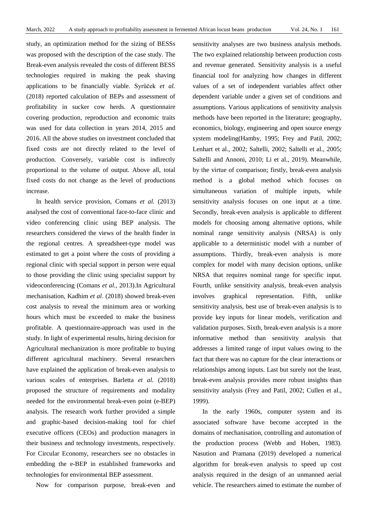study, an optimization method for the sizing of BESSs was proposed with the description of the case study. The Break-even analysis revealed the costs of different BESS technologies required in making the peak shaving applications to be financially viable. Syrůček *et al.* (2018) reported calculation of BEPs and assessment of profitability in sucker cow herds. A questionnaire covering production, reproduction and economic traits was used for data collection in years 2014, 2015 and 2016. All the above studies on investment concluded that fixed costs are not directly related to the level of production. Conversely, variable cost is indirectly proportional to the volume of output. Above all, total fixed costs do not change as the level of productions increase.

In health service provision, Comans *et al.* (2013) analysed the cost of conventional face-to-face clinic and video conferencing clinic using BEP analysis. The researchers considered the views of the health finder in the regional centres. A spreadsheet-type model was estimated to get a point where the costs of providing a regional clinic with special support in person were equal to those providing the clinic using specialist support by videoconferencing (Comans *et al.,* 2013).In Agricultural mechanisation, Kadhim *et al*. (2018) showed break-even cost analysis to reveal the minimum area or working hours which must be exceeded to make the business profitable. A questionnaire-approach was used in the study. In light of experimental results, hiring decision for Agricultural mechanization is more profitable to buying different agricultural machinery. Several researchers have explained the application of break-even analysis to various scales of enterprises. Barletta *et al.* (2018) proposed the structure of requirements and modality needed for the environmental break-even point (e-BEP) analysis. The research work further provided a simple and graphic-based decision-making tool for chief executive officers (CEOs) and production managers in their business and technology investments, respectively. For Circular Economy, researchers see no obstacles in embedding the e-BEP in established frameworks and technologies for environmental BEP assessment.

Now for comparison purpose, break-even and

sensitivity analyses are two business analysis methods. The two explained relationship between production costs and revenue generated. Sensitivity analysis is a useful financial tool for analyzing how changes in different values of a set of independent variables affect other dependent variable under a given set of conditions and assumptions. Various applications of sensitivity analysis methods have been reported in the literature; geography, economics, biology, engineering and open source energy system modeling(Hamby, 1995; Frey and Patil, 2002; Lenhart et al., 2002; Saltelli, 2002; Saltelli et al., 2005; Saltelli and Annoni, 2010; Li et al., 2019). Meanwhile, by the virtue of comparison; firstly, break-even analysis method is a global method which focuses on simultaneous variation of multiple inputs, while sensitivity analysis focuses on one input at a time. Secondly, break-even analysis is applicable to different models for choosing among alternative options, while nominal range sensitivity analysis (NRSA) is only applicable to a deterministic model with a number of assumptions. Thirdly, break-even analysis is more complex for model with many decision options, unlike NRSA that requires nominal range for specific input. Fourth, unlike sensitivity analysis, break-even analysis involves graphical representation. Fifth, unlike sensitivity analysis, best use of break-even analysis is to provide key inputs for linear models, verification and validation purposes. Sixth, break-even analysis is a more informative method than sensitivity analysis that addresses a limited range of input values owing to the fact that there was no capture for the clear interactions or relationships among inputs. Last but surely not the least, break-even analysis provides more robust insights than sensitivity analysis (Frey and Patil, 2002; Cullen et al., 1999).

In the early 1960s, computer system and its associated software have become accepted in the domains of mechanisation, controlling and automation of the production process (Webb and Hoben, 1983). Nasution and Pramana (2019) developed a numerical algorithm for break-even analysis to speed up cost analysis required in the design of an unmanned aerial vehicle. The researchers aimed to estimate the number of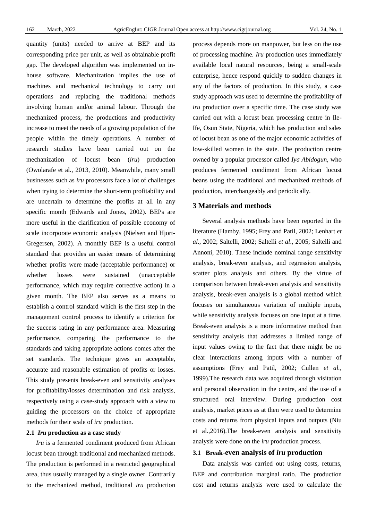quantity (units) needed to arrive at BEP and its corresponding price per unit, as well as obtainable profit gap. The developed algorithm was implemented on inhouse software. Mechanization implies the use of machines and mechanical technology to carry out operations and replacing the traditional methods involving human and/or animal labour. Through the mechanized process, the productions and productivity increase to meet the needs of a growing population of the people within the timely operations. A number of research studies have been carried out on the mechanization of locust bean (*iru*) production (Owolarafe et al*.,* 2013, 2010). Meanwhile, many small businesses such as *iru* processors face a lot of challenges when trying to determine the short-term profitability and are uncertain to determine the profits at all in any specific month (Edwards and Jones, 2002). BEPs are more useful in the clarification of possible economy of scale incorporate economic analysis (Nielsen and Hjort-Gregersen, 2002). A monthly BEP is a useful control standard that provides an easier means of determining whether profits were made (acceptable performance) or whether losses were sustained (unacceptable performance, which may require corrective action) in a given month. The BEP also serves as a means to establish a control standard which is the first step in the management control process to identify a criterion for the success rating in any performance area. Measuring performance, comparing the performance to the standards and taking appropriate actions comes after the set standards. The technique gives an acceptable, accurate and reasonable estimation of profits or losses. This study presents break-even and sensitivity analyses for profitability/losses determination and risk analysis, respectively using a case-study approach with a view to guiding the processors on the choice of appropriate methods for their scale of *iru* production.

#### **2.1** *Iru* **production as a case study**

*Iru* is a fermented condiment produced from African locust bean through traditional and mechanized methods. The production is performed in a restricted geographical area, thus usually managed by a single owner. Contrarily to the mechanized method, traditional *iru* production process depends more on manpower, but less on the use of processing machine. *Iru* production uses immediately available local natural resources, being a small-scale enterprise, hence respond quickly to sudden changes in any of the factors of production. In this study, a case study approach was used to determine the profitability of *iru* production over a specific time. The case study was carried out with a locust bean processing centre in Ile-Ife, Osun State, Nigeria, which has production and sales of locust bean as one of the major economic activities of low-skilled women in the state. The production centre owned by a popular processor called *Iya Abidogun,* who produces fermented condiment from African locust beans using the traditional and mechanized methods of production, interchangeably and periodically.

#### **3 Materials and methods**

Several analysis methods have been reported in the literature (Hamby, 1995; Frey and Patil, 2002; Lenhart *et al*., 2002; Saltelli, 2002; Saltelli *et al*., 2005; Saltelli and Annoni, 2010). These include nominal range sensitivity analysis, break-even analysis, and regression analysis, scatter plots analysis and others. By the virtue of comparison between break-even analysis and sensitivity analysis, break-even analysis is a global method which focuses on simultaneous variation of multiple inputs, while sensitivity analysis focuses on one input at a time. Break-even analysis is a more informative method than sensitivity analysis that addresses a limited range of input values owing to the fact that there might be no clear interactions among inputs with a number of assumptions (Frey and Patil, 2002; Cullen *et al.,* 1999).The research data was acquired through visitation and personal observation in the centre, and the use of a structured oral interview. During production cost analysis, market prices as at then were used to determine costs and returns from physical inputs and outputs (Niu et al.,2016).The break-even analysis and sensitivity analysis were done on the *iru* production process.

#### **3.1 Break-even analysis of** *iru* **production**

Data analysis was carried out using costs, returns, BEP and contribution marginal ratio. The production cost and returns analysis were used to calculate the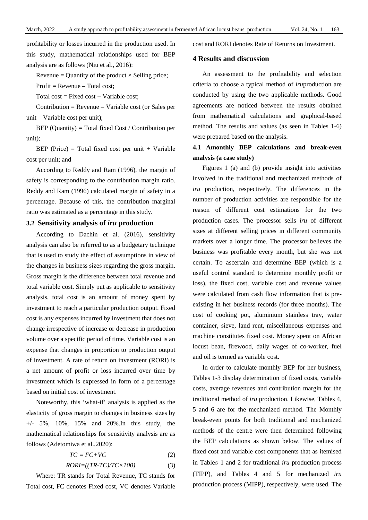profitability or losses incurred in the production used. In this study, mathematical relationships used for BEP analysis are as follows (Niu et al., 2016):

Revenue = Quantity of the product  $\times$  Selling price;

 $Profit = Revenue - Total cost$ ;

Total cost = Fixed cost + Variable cost;

Contribution = Revenue – Variable cost (or Sales per unit – Variable cost per unit);

BEP (Quantity) = Total fixed Cost / Contribution per unit);

BEP (Price) = Total fixed cost per unit + Variable cost per unit; and

According to Reddy and Ram (1996), the margin of safety is corresponding to the contribution margin ratio. Reddy and Ram (1996) calculated margin of safety in a percentage. Because of this, the contribution marginal ratio was estimated as a percentage in this study.

#### **3.2 Sensitivity analysis of** *iru* **production**

According to Dachin et al. (2016), sensitivity analysis can also be referred to as a budgetary technique that is used to study the effect of assumptions in view of the changes in business sizes regarding the gross margin. Gross margin is the difference between total revenue and total variable cost. Simply put as applicable to sensitivity analysis, total cost is an amount of money spent by investment to reach a particular production output. Fixed cost is any expenses incurred by investment that does not change irrespective of increase or decrease in production volume over a specific period of time. Variable cost is an expense that changes in proportion to production output of investment. A rate of return on investment (RORI) is a net amount of profit or loss incurred over time by investment which is expressed in form of a percentage based on initial cost of investment.

Noteworthy, this 'what-if' analysis is applied as the elasticity of gross margin to changes in business sizes by  $+/-$  5%, 10%, 15% and 20%. In this study, the mathematical relationships for sensitivity analysis are as follows (Adetomiwa et al.,2020):

$$
TC = FC + VC \tag{2}
$$

$$
RORI = ((TR-TC)/TC \times 100) \tag{3}
$$

Where: TR stands for Total Revenue, TC stands for Total cost, FC denotes Fixed cost, VC denotes Variable cost and RORI denotes Rate of Returns on Investment.

## **4 Results and discussion**

An assessment to the profitability and selection criteria to choose a typical method of *iru*production are conducted by using the two applicable methods. Good agreements are noticed between the results obtained from mathematical calculations and graphical-based method. The results and values (as seen in Tables 1-6) were prepared based on the analysis.

# **4.1 Amonthly BEP calculations and break-even analysis (a case study)**

Figures 1 (a) and (b) provide insight into activities involved in the traditional and mechanized methods of *iru* production, respectively. The differences in the number of production activities are responsible for the reason of different cost estimations for the two production cases. The processor sells *iru* of different sizes at different selling prices in different community markets over a longer time. The processor believes the business was profitable every month, but she was not certain. To ascertain and determine BEP (which is a useful control standard to determine monthly profit or loss), the fixed cost, variable cost and revenue values were calculated from cash flow information that is preexisting in her business records (for three months). The cost of cooking pot, aluminium stainless tray, water container, sieve, land rent, miscellaneous expenses and machine constitutes fixed cost. Money spent on African locust bean, firewood, daily wages of co-worker, fuel and oil is termed as variable cost.

In order to calculate monthly BEP for her business, Tables 1-3 display determination of fixed costs, variable costs, average revenues and contribution margin for the traditional method of *iru* production. Likewise, Tables 4, 5 and 6 are for the mechanized method. The Monthly break-even points for both traditional and mechanized methods of the centre were then determined following the BEP calculations as shown below. The values of fixed cost and variable cost components that as itemised in Tables 1 and 2 for traditional *iru* production process (TIPP), and Tables 4 and 5 for mechanized *iru* production process (MIPP), respectively, were used. The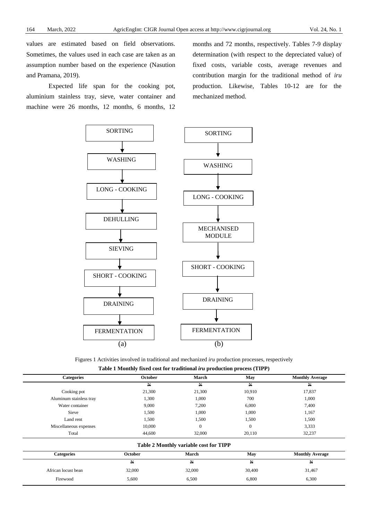values are estimated based on field observations. Sometimes, the values used in each case are taken as an assumption number based on the experience (Nasution and Pramana, 2019).

Expected life span for the cooking pot, aluminium stainless tray, sieve, water container and machine were 26 months, 12 months, 6 months, 12

months and 72 months, respectively. Tables 7-9 display determination (with respect to the depreciated value) of fixed costs, variable costs, average revenues and contribution margin for the traditional method of *iru* production. Likewise, Tables 10-12 are for the mechanized method.



Figures 1 Activities involved in traditional and mechanized *iru* production processes, respectively **Table 1 Monthly fixed cost for traditional** *iru* **production process (TIPP)**

| <b>Categories</b>       | October        | March                                  | May          | <b>Monthly Average</b> |
|-------------------------|----------------|----------------------------------------|--------------|------------------------|
|                         | $\mathbb N$    | $\mathbf{H}$                           | $\mathbb{N}$ | $\mathbb{N}$           |
| Cooking pot             | 21,300         | 21,300                                 | 10,910       | 17,837                 |
| Aluminum stainless tray | 1,300          | 1,000                                  | 700          | 1,000                  |
| Water container         | 9,000          | 7,200                                  | 6,000        | 7,400                  |
| Sieve                   | 1,500          | 1,000                                  | 1,000        | 1,167                  |
| Land rent               | 1,500          | 1,500                                  | 1,500        | 1,500                  |
| Miscellaneous expenses  | 10,000         | $\overline{0}$                         | $\mathbf{0}$ | 3,333                  |
| Total                   | 44,600         | 32,000                                 | 20,110       | 32,237                 |
|                         |                | Table 2 Monthly variable cost for TIPP |              |                        |
| <b>Categories</b>       | <b>October</b> | March                                  | May          | <b>Monthly Average</b> |
|                         | $\mathbb N$    | $\mathbf{N}$                           | Ħ            | $\mathbb{N}$           |
| African locust bean     | 32,000         | 32,000                                 | 30,400       | 31,467                 |
| Firewood                | 5,600          | 6,500                                  | 6,800        | 6,300                  |
|                         |                |                                        |              |                        |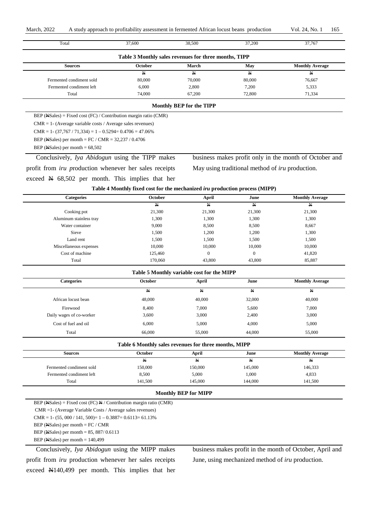| Total                                                                     | 37,600                                                                      | 38,500                   | 37,200                                                 | 37,767                                                 |
|---------------------------------------------------------------------------|-----------------------------------------------------------------------------|--------------------------|--------------------------------------------------------|--------------------------------------------------------|
|                                                                           | Table 3 Monthly sales revenues for three months, TIPP                       |                          |                                                        |                                                        |
| <b>Sources</b>                                                            | October                                                                     | March                    | May                                                    | <b>Monthly Average</b>                                 |
|                                                                           | N                                                                           | N                        | $\mathbf{N}$                                           | $\mathbf{N}$                                           |
| Fermented condiment sold                                                  | 80,000                                                                      | 70,000                   | 80,000                                                 | 76,667                                                 |
| Fermented condiment left                                                  | 6,000                                                                       | 2,800                    | 7,200                                                  | 5,333                                                  |
| Total                                                                     | 74,000                                                                      | 67,200                   | 72,800                                                 | 71,334                                                 |
|                                                                           |                                                                             | Monthly BEP for the TIPP |                                                        |                                                        |
| BEP ( $\angle$ Sales) = Fixed cost (FC) / Contribution margin ratio (CMR) |                                                                             |                          |                                                        |                                                        |
| $CMR = 1 - (Average variable costs / Average sales revenues)$             |                                                                             |                          |                                                        |                                                        |
| $CMR = 1 - (37,767 / 71,334) = 1 - 0.5294 = 0.4706 = 47.06\%$             |                                                                             |                          |                                                        |                                                        |
| BEP (NSales) per month = FC / CMR = $32,237$ / 0.4706                     |                                                                             |                          |                                                        |                                                        |
| BEP (NSales) per month $= 68,502$                                         |                                                                             |                          |                                                        |                                                        |
| Conclusively, Iya Abidogun using the TIPP makes                           |                                                                             |                          |                                                        | business makes profit only in the month of October and |
| profit from <i>iru</i> production whenever her sales receipts             |                                                                             |                          | May using traditional method of <i>iru</i> production. |                                                        |
| exceed $\cancel{\text{N}}$ 68,502 per month. This implies that her        |                                                                             |                          |                                                        |                                                        |
|                                                                           | Table 4 Monthly fixed cost for the mechanized iru production process (MIPP) |                          |                                                        |                                                        |
| Categories                                                                | October                                                                     | April                    | June                                                   | <b>Monthly Average</b>                                 |
|                                                                           | N                                                                           | $\mathbf{N}$             | Ħ                                                      | N                                                      |
| Cooking pot                                                               | 21,300                                                                      | 21,300                   | 21,300                                                 | 21,300                                                 |
| Aluminum stainless tray                                                   | 1,300                                                                       | 1,300                    | 1,300                                                  | 1,300                                                  |
| Water container                                                           | 9,000                                                                       | 8,500                    | 8,500                                                  | 8,667                                                  |
| Sieve                                                                     | 1,500                                                                       | 1,200                    | 1,200                                                  | 1,300                                                  |
| Land rent                                                                 | 1,500                                                                       | 1,500                    | 1,500                                                  | 1,500                                                  |
| Miscellaneous expenses                                                    | 10,000                                                                      | 10,000                   | 10,000                                                 | 10,000                                                 |
| Cost of machine                                                           | 125,460                                                                     | $\boldsymbol{0}$         | $\boldsymbol{0}$                                       | 41,820                                                 |
| Total                                                                     | 170,060                                                                     | 43,800                   | 43,800                                                 | 85,887                                                 |
|                                                                           | Table 5 Monthly variable cost for the MIPP                                  |                          |                                                        |                                                        |
| <b>Categories</b>                                                         | October                                                                     | April                    | June                                                   | <b>Monthly Average</b>                                 |
|                                                                           | Ħ                                                                           | N                        | N                                                      | H                                                      |
| African locust bean                                                       | 48,000                                                                      | 40,000                   | 32,000                                                 | 40,000                                                 |
| Firewood                                                                  | 8,400                                                                       | 7,000                    | 5,600                                                  | 7,000                                                  |
| Daily wages of co-worker                                                  | 3,600                                                                       | 3,000                    | 2,400                                                  | 3,000                                                  |
| Cost of fuel and oil                                                      | 6,000                                                                       | 5,000                    | 4,000                                                  | 5,000                                                  |
| Total                                                                     | 66,000                                                                      | 55,000                   | 44,000                                                 | 55,000                                                 |
|                                                                           | Table 6 Monthly sales revenues for three months, MIPP                       |                          |                                                        |                                                        |
| <b>Sources</b>                                                            | October                                                                     | April                    | June                                                   | <b>Monthly Average</b>                                 |
|                                                                           | $\overline{\mathbb{N}}$                                                     | $\overline{\mathbb{N}}$  | $\overline{\mathbb{N}}$                                | N                                                      |
| Fermented condiment sold                                                  | 150,000                                                                     | 150,000                  | 145,000                                                | 146,333                                                |
| Fermented condiment left                                                  | 8,500                                                                       | 5,000                    | 1,000                                                  | 4,833                                                  |
| Total                                                                     | 141,500                                                                     | 145,000                  | 144,000                                                | 141,500                                                |
|                                                                           |                                                                             |                          |                                                        |                                                        |

CMR =1- (Average Variable Costs / Average sales revenues) CMR = 1 - (55, 000 / 141, 500) = 1 - 0.3887 = 0.6113 = 61.13%

BEP (NSales) per month = FC / CMR

BEP (NSales) per month = 85, 887/ 0.6113

BEP (NSales) per month = 140,499

Conclusively, *Iya Abidogun* using the MIPP makes profit from *iru* production whenever her sales receipts exceed N140,499 per month. This implies that her business makes profit in the month of October, April and June, using mechanized method of *iru* production.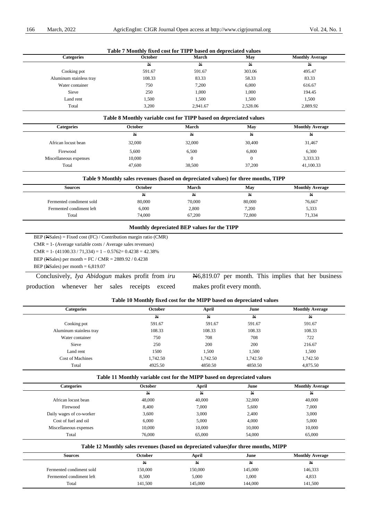|                         | Table 7 Monthly fixed cost for TIPP based on depreciated values |          |              |                        |
|-------------------------|-----------------------------------------------------------------|----------|--------------|------------------------|
| <b>Categories</b>       | <b>October</b>                                                  | March    | May          | <b>Monthly Average</b> |
|                         | N                                                               | N        | $\mathbb{N}$ | N                      |
| Cooking pot             | 591.67                                                          | 591.67   | 303.06       | 495.47                 |
| Aluminum stainless tray | 108.33                                                          | 83.33    | 58.33        | 83.33                  |
| Water container         | 750                                                             | 7,200    | 6,000        | 616.67                 |
| Sieve                   | 250                                                             | 1,000    | 1,000        | 194.45                 |
| Land rent               | 1,500                                                           | 1,500    | 1,500        | 1,500                  |
| Total                   | 3.200                                                           | 2.941.67 | 2,528.06     | 2,889.92               |

#### **Table 8 Monthly variable cost for TIPP based on depreciated values**

| <b>Categories</b>      | <b>October</b> | March  | May    | <b>Monthly Average</b> |
|------------------------|----------------|--------|--------|------------------------|
|                        | N              | ₩      | ₩      | ₩                      |
| African locust bean    | 32,000         | 32,000 | 30,400 | 31,467                 |
| Firewood               | 5,600          | 6,500  | 6,800  | 6,300                  |
| Miscellaneous expenses | 10,000         |        |        | 3,333.33               |
| Total                  | 47,600         | 38,500 | 37,200 | 41,100.33              |

#### **Table 9 Monthly sales revenues (based on depreciated values) for three months, TIPP**

| October | <b>March</b> | May          | <b>Monthly Average</b> |
|---------|--------------|--------------|------------------------|
| ₩       | ₩            | $\mathbf{N}$ | ₩                      |
| 80,000  | 70,000       | 80,000       | 76,667                 |
| 6,000   | 2,800        | 7,200        | 5,333                  |
| 74,000  | 67,200       | 72,800       | 71,334                 |
|         |              |              |                        |

#### **Monthly depreciated BEP values for the TIPP**

BEP (NSales) = Fixed cost (FC) / Contribution margin ratio (CMR)

CMR = 1- (Average variable costs / Average sales revenues)

CMR = 1 -  $(41100.33 / 71,334) = 1 - 0.5762 = 0.4238 = 42.38%$ 

BEP (NSales) per month = FC / CMR = 2889.92 / 0.4238

BEP ( $\text{NS}$ ales) per month = 6,819.07

Conclusively, *Iya Abidogun* makes profit from *iru* production whenever her sales receipts exceed N6,819.07 per month. This implies that her business makes profit every month.

#### **Table 10 Monthly fixed cost for the MIPP based on depreciated values**

| <b>Categories</b>       | <b>October</b> | April    | June         | <b>Monthly Average</b> |  |
|-------------------------|----------------|----------|--------------|------------------------|--|
|                         | N              | N        | $\mathbb{N}$ | N                      |  |
| Cooking pot             | 591.67         | 591.67   | 591.67       | 591.67                 |  |
| Aluminum stainless tray | 108.33         | 108.33   | 108.33       | 108.33                 |  |
| Water container         | 750            | 708      | 708          | 722                    |  |
| Sieve                   | 250            | 200      | 200          | 216.67                 |  |
| Land rent               | 1500           | 1,500    | 1,500        | 1,500                  |  |
| <b>Cost of Machines</b> | 1,742.50       | 1,742.50 | 1,742.50     | 1,742.50               |  |
| Total                   | 4925.50        | 4850.50  | 4850.50      | 4,875.50               |  |
|                         |                |          |              |                        |  |

#### **Table 11 Monthly variable cost for the MIPP based on depreciated values**

| Categories               | <b>October</b> | April  | June   | <b>Monthly Average</b> |
|--------------------------|----------------|--------|--------|------------------------|
|                          | N              | N      | N      | ₩                      |
| African locust bean      | 48,000         | 40,000 | 32,000 | 40,000                 |
| Firewood                 | 8,400          | 7,000  | 5,600  | 7,000                  |
| Daily wages of co-worker | 3,600          | 3,000  | 2,400  | 3,000                  |
| Cost of fuel and oil     | 6,000          | 5,000  | 4,000  | 5,000                  |
| Miscellaneous expenses   | 10,000         | 10,000 | 10,000 | 10,000                 |
| Total                    | 76,000         | 65,000 | 54,000 | 65,000                 |

#### **Table 12 Monthly sales revenues (based on depreciated values)for three months, MIPP**

| <b>Sources</b>           | October | April   | June    | <b>Monthly Average</b> |
|--------------------------|---------|---------|---------|------------------------|
|                          | ₩       | ₩       | N       | ₩                      |
| Fermented condiment sold | 150,000 | 150,000 | 145,000 | 146,333                |
| Fermented condiment left | 8,500   | 5,000   | 1,000   | 4,833                  |
| Total                    | 141,500 | 145,000 | 144,000 | 141,500                |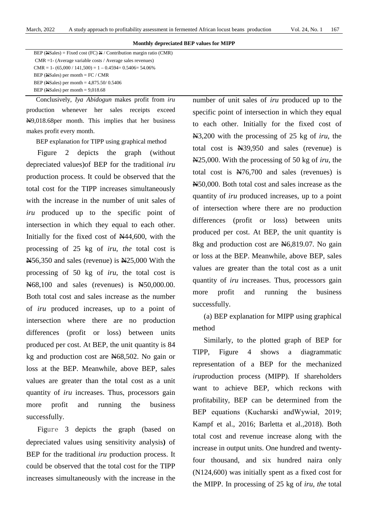#### **Monthly depreciated BEP values for MIPP**

| BEP (Next, Sales) = Fixed cost (FC) $\frac{N}{2}$ / Contribution margin ratio (CMR) |
|-------------------------------------------------------------------------------------|
| $CMR = 1 - (Average variable costs / Average sales revenues)$                       |
| $CMR = 1 - (65,000 / 141,500) = 1 - 0.4594 = 0.5406 = 54.06\%$                      |
| BEP (NeSales) per month = $FC / CMR$                                                |
| BEP (NSales) per month = $4,875.50/0.5406$                                          |
| BEP (NSales) per month $= 9,018.68$                                                 |

Conclusively, *Iya Abidogun* makes profit from *iru* production whenever her sales receipts exceed N9,018.68per month. This implies that her business makes profit every month.

BEP explanation for TIPP using graphical method

Figure 2 depicts the graph (without depreciated values)of BEP for the traditional *iru* production process. It could be observed that the total cost for the TIPP increases simultaneously with the increase in the number of unit sales of *iru* produced up to the specific point of intersection in which they equal to each other. Initially for the fixed cost of  $\mathbb{N}44,600$ , with the processing of 25 kg of *iru*, *the* total cost is N56,350 and sales (revenue) is N25,000 With the processing of 50 kg of *iru*, the total cost is N68,100 and sales (revenues) is N50,000.00. Both total cost and sales increase as the number of *iru* produced increases, up to a point of intersection where there are no production differences (profit or loss) between units produced per cost. At BEP, the unit quantity is 84 kg and production cost are N68,502. No gain or loss at the BEP. Meanwhile, above BEP, sales values are greater than the total cost as a unit quantity of *iru* increases. Thus, processors gain more profit and running the business successfully.

Figure 3 depicts the graph (based on depreciated values using sensitivity analysis**)** of BEP for the traditional *iru* production process. It could be observed that the total cost for the TIPP increases simultaneously with the increase in the number of unit sales of *iru* produced up to the specific point of intersection in which they equal to each other. Initially for the fixed cost of N3,200 with the processing of 25 kg of *iru*, the total cost is N39,950 and sales (revenue) is N25,000. With the processing of 50 kg of *iru*, the total cost is N76,700 and sales (revenues) is N50,000. Both total cost and sales increase as the quantity of *iru* produced increases, up to a point of intersection where there are no production differences (profit or loss) between units produced per cost. At BEP, the unit quantity is 8kg and production cost are  $\text{N6},819.07$ . No gain or loss at the BEP. Meanwhile, above BEP, sales values are greater than the total cost as a unit quantity of *iru* increases. Thus, processors gain more profit and running the business successfully.

(a) BEP explanation for MIPP using graphical method

Similarly, to the plotted graph of BEP for TIPP, Figure 4 shows a diagrammatic representation of a BEP for the mechanized *iru*production process (MIPP). If shareholders want to achieve BEP, which reckons with profitability, BEP can be determined from the BEP equations (Kucharski andWywiał, 2019; Kampf et al., 2016; Barletta et al.,2018). Both total cost and revenue increase along with the increase in output units. One hundred and twentyfour thousand, and six hundred naira only (N124,600) was initially spent as a fixed cost for the MIPP. In processing of 25 kg of *iru, the* total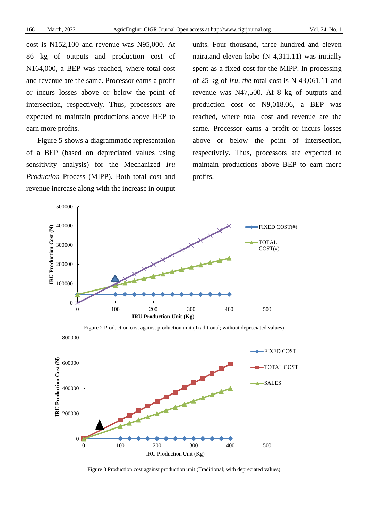cost is N152,100 and revenue was N95,000. At 86 kg of outputs and production cost of N164,000, a BEP was reached, where total cost and revenue are the same. Processor earns a profit or incurs losses above or below the point of intersection, respectively. Thus, processors are expected to maintain productions above BEP to earn more profits.

Figure 5 shows a diagrammatic representation of a BEP (based on depreciated values using sensitivity analysis) for the Mechanized *Iru Production* Process (MIPP). Both total cost and revenue increase along with the increase in output units. Four thousand, three hundred and eleven naira,and eleven kobo (N 4,311.11) was initially spent as a fixed cost for the MIPP. In processing of 25 kg of *iru, the* total cost is N 43,061.11 and revenue was N47,500. At 8 kg of outputs and production cost of N9,018.06, a BEP was reached, where total cost and revenue are the same. Processor earns a profit or incurs losses above or below the point of intersection, respectively. Thus, processors are expected to maintain productions above BEP to earn more profits.



Figure 2 Production cost against production unit (Traditional; without depreciated values)



Figure 3 Production cost against production unit (Traditional; with depreciated values)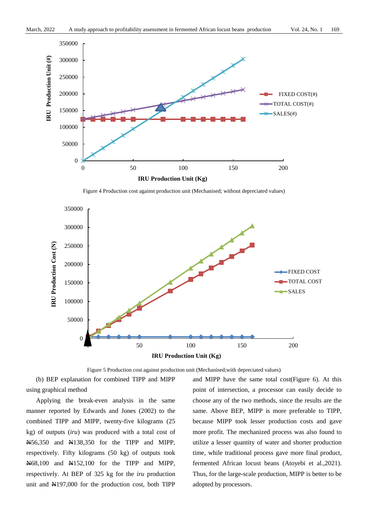

Figure 4 Production cost against production unit (Mechanised; without depreciated values)



Figure 5 Production cost against production unit (Mechanised;with depreciated values)

(b) BEP explanation for combined TIPP and MIPP using graphical method

Applying the break-even analysis in the same manner reported by Edwards and Jones (2002) to the combined TIPP and MIPP, twenty-five kilograms (25 kg) of outputs (*iru*) was produced with a total cost of N56,350 and N138,350 for the TIPP and MIPP, respectively. Fifty kilograms (50 kg) of outputs took N68,100 and N152,100 for the TIPP and MIPP, respectively. At BEP of 325 kg for the *iru* production unit and N197,000 for the production cost, both TIPP

and MIPP have the same total cost(Figure 6). At this point of intersection, a processor can easily decide to choose any of the two methods, since the results are the same. Above BEP, MIPP is more preferable to TIPP, because MIPP took lesser production costs and gave more profit. The mechanized process was also found to utilize a lesser quantity of water and shorter production time, while traditional process gave more final product, fermented African locust beans (Atoyebi et al.,2021). Thus, for the large-scale production, MIPP is better to be adopted by processors.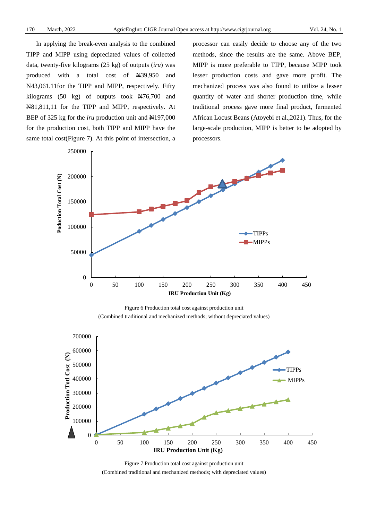In applying the break-even analysis to the combined TIPP and MIPP using depreciated values of collected data, twenty-five kilograms (25 kg) of outputs (*iru*) was produced with a total cost of N39,950 and N43,061.11for the TIPP and MIPP, respectively. Fifty kilograms (50 kg) of outputs took  $\cancel{\text{N76}}$ ,700 and N81,811,11 for the TIPP and MIPP, respectively. At BEP of 325 kg for the *iru* production unit and N197,000 for the production cost, both TIPP and MIPP have the same total cost(Figure 7). At this point of intersection, a processor can easily decide to choose any of the two methods, since the results are the same. Above BEP, MIPP is more preferable to TIPP, because MIPP took lesser production costs and gave more profit. The mechanized process was also found to utilize a lesser quantity of water and shorter production time, while traditional process gave more final product, fermented African Locust Beans (Atoyebi et al.,2021). Thus, for the large-scale production, MIPP is better to be adopted by processors.



Figure 6 Production total cost against production unit (Combined traditional and mechanized methods; without depreciated values)



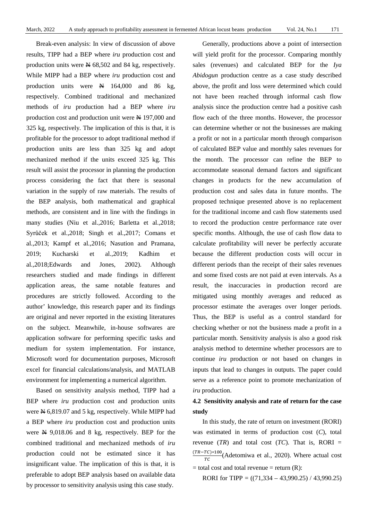Break-even analysis: In view of discussion of above results, TIPP had a BEP where *iru* production cost and production units were  $\cancel{\text{N}}$  68,502 and 84 kg, respectively. While MIPP had a BEP where *iru* production cost and production units were  $N = 164,000$  and 86 kg, respectively. Combined traditional and mechanized methods of *iru* production had a BEP where *iru* production cost and production unit were N 197,000 and 325 kg, respectively. The implication of this is that, it is profitable for the processor to adopt traditional method if production units are less than 325 kg and adopt mechanized method if the units exceed 325 kg. This result will assist the processor in planning the production process considering the fact that there is seasonal variation in the supply of raw materials. The results of the BEP analysis, both mathematical and graphical methods, are consistent and in line with the findings in many studies (Niu et al.,2016; Barletta et al.,2018; Syrůček et al.,2018; Singh et al.,2017; Comans et al.,2013; Kampf et al.,2016; Nasution and Pramana, 2019; Kucharski et al.,2019; Kadhim et al.,2018;Edwards and Jones, 2002). Although researchers studied and made findings in different application areas, the same notable features and procedures are strictly followed. According to the author' knowledge, this research paper and its findings are original and never reported in the existing literatures on the subject. Meanwhile, in-house softwares are application software for performing specific tasks and medium for system implementation. For instance, Microsoft word for documentation purposes, Microsoft excel for financial calculations/analysis, and MATLAB environment for implementing a numerical algorithm.

Based on sensitivity analysis method, TIPP had a BEP where *iru* production cost and production units were  $\overline{N}$  6,819.07 and 5 kg, respectively. While MIPP had a BEP where *iru* production cost and production units were N 9,018.06 and 8 kg, respectively. BEP for the combined traditional and mechanized methods of *iru* production could not be estimated since it has insignificant value. The implication of this is that, it is preferable to adopt BEP analysis based on available data by processor to sensitivity analysis using this case study.

Generally, productions above a point of intersection will yield profit for the processor. Comparing monthly sales (revenues) and calculated BEP for the *Iya Abidogun* production centre as a case study described above, the profit and loss were determined which could not have been reached through informal cash flow analysis since the production centre had a positive cash flow each of the three months. However, the processor can determine whether or not the businesses are making a profit or not in a particular month through comparison of calculated BEP value and monthly sales revenues for the month. The processor can refine the BEP to accommodate seasonal demand factors and significant changes in products for the new accumulation of production cost and sales data in future months. The proposed technique presented above is no replacement for the traditional income and cash flow statements used to record the production centre performance rate over specific months. Although, the use of cash flow data to calculate profitability will never be perfectly accurate because the different production costs will occur in different periods than the receipt of their sales revenues and some fixed costs are not paid at even intervals. As a result, the inaccuracies in production record are mitigated using monthly averages and reduced as processor estimate the averages over longer periods. Thus, the BEP is useful as a control standard for checking whether or not the business made a profit in a particular month. Sensitivity analysis is also a good risk analysis method to determine whether processors are to continue *iru* production or not based on changes in inputs that lead to changes in outputs. The paper could serve as a reference point to promote mechanization of *iru* production.

# **4.2 Sensitivity analysis and rate of return for the case study**

In this study, the rate of return on investment (RORI) was estimated in terms of production cost (*C*), total revenue  $(TR)$  and total cost  $(TC)$ . That is, RORI =  $\frac{(TR - TC) * 100}{TC}$ (Adetomiwa et al., 2020). Where actual cost  $=$  total cost and total revenue  $=$  return  $(R)$ :

RORI for TIPP =  $((71,334 – 43,990.25) / 43,990.25)$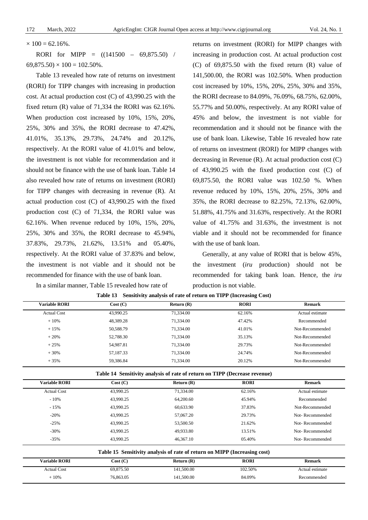$\times$  100 = 62.16%.

RORI for MIPP = ((141500 – 69,875.50) /  $69,875.50 \times 100 = 102.50\%$ .

Table 13 revealed how rate of returns on investment (RORI) for TIPP changes with increasing in production cost. At actual production cost (C) of 43,990.25 with the fixed return (R) value of 71,334 the RORI was 62.16%. When production cost increased by 10%, 15%, 20%, 25%, 30% and 35%, the RORI decrease to 47.42%, 41.01%, 35.13%, 29.73%, 24.74% and 20.12%, respectively. At the RORI value of 41.01% and below, the investment is not viable for recommendation and it should not be finance with the use of bank loan. Table 14 also revealed how rate of returns on investment (RORI) for TIPP changes with decreasing in revenue (R). At actual production cost (C) of 43,990.25 with the fixed production cost (C) of 71,334, the RORI value was 62.16%. When revenue reduced by 10%, 15%, 20%, 25%, 30% and 35%, the RORI decrease to 45.94%, 37.83%, 29.73%, 21.62%, 13.51% and 05.40%, respectively. At the RORI value of 37.83% and below, the investment is not viable and it should not be recommended for finance with the use of bank loan.

In a similar manner, Table 15 revealed how rate of

returns on investment (RORI) for MIPP changes with increasing in production cost. At actual production cost (C) of 69,875.50 with the fixed return (R) value of 141,500.00, the RORI was 102.50%. When production cost increased by 10%, 15%, 20%, 25%, 30% and 35%, the RORI decrease to 84.09%, 76.09%, 68.75%, 62.00%, 55.77% and 50.00%, respectively. At any RORI value of 45% and below, the investment is not viable for recommendation and it should not be finance with the use of bank loan. Likewise, Table 16 revealed how rate of returns on investment (RORI) for MIPP changes with decreasing in Revenue (R). At actual production cost (C) of 43,990.25 with the fixed production cost (C) of 69,875.50, the RORI value was 102.50 %. When revenue reduced by 10%, 15%, 20%, 25%, 30% and 35%, the RORI decrease to 82.25%, 72.13%, 62.00%, 51.88%, 41.75% and 31.63%, respectively. At the RORI value of 41.75% and 31.63%, the investment is not viable and it should not be recommended for finance with the use of bank loan.

Generally, at any value of RORI that is below 45%, the investment (*iru* production) should not be recommended for taking bank loan. Hence, the *iru* production is not viable.

| <b>Variable RORI</b> | Cost (C)  | Return $(R)$ | <b>RORI</b> | <b>Remark</b>   |
|----------------------|-----------|--------------|-------------|-----------------|
| <b>Actual Cost</b>   | 43,990.25 | 71,334.00    | 62.16%      | Actual estimate |
| $+10%$               | 48.389.28 | 71.334.00    | 47.42%      | Recommended     |
| $+15%$               | 50.588.79 | 71.334.00    | 41.01%      | Not-Recommended |
| $+20%$               | 52.788.30 | 71.334.00    | 35.13%      | Not-Recommended |
| $+25%$               | 54.987.81 | 71,334.00    | 29.73%      | Not-Recommended |
| $+30%$               | 57,187.33 | 71.334.00    | 24.74%      | Not-Recommended |
| $+35%$               | 59.386.84 | 71.334.00    | 20.12%      | Not-Recommended |

|  |  |  |  |  |  | Table 13 Sensitivity analysis of rate of return on TIPP (Increasing Cost) |  |
|--|--|--|--|--|--|---------------------------------------------------------------------------|--|
|--|--|--|--|--|--|---------------------------------------------------------------------------|--|

**Table 14 Sensitivity analysis of rate of return on TIPP (Decrease revenue)**

| <b>Variable RORI</b> | Cost (C)  | Return $(R)$                                                              | <b>RORI</b> | <b>Remark</b>   |
|----------------------|-----------|---------------------------------------------------------------------------|-------------|-----------------|
| <b>Actual Cost</b>   | 43,990.25 | 71,334.00                                                                 | 62.16%      | Actual estimate |
| $-10\%$              | 43,990.25 | 64,200.60                                                                 | 45.94%      | Recommended     |
| $-15%$               | 43.990.25 | 60.633.90                                                                 | 37.83%      | Not-Recommended |
| $-20%$               | 43,990.25 | 57,067.20                                                                 | 29.73%      | Not-Recommended |
| $-25%$               | 43,990.25 | 53,500.50                                                                 | 21.62%      | Not-Recommended |
| $-30%$               | 43,990.25 | 49.933.80                                                                 | 13.51%      | Not-Recommended |
| $-35%$               | 43,990.25 | 46,367.10                                                                 | 05.40%      | Not-Recommended |
|                      |           | Table 15 Sensitivity analysis of rate of return on MIPP (Increasing cost) |             |                 |
| <b>Variable RORI</b> | Cost(C)   | Return $(R)$                                                              | <b>RORI</b> | <b>Remark</b>   |
| <b>Actual Cost</b>   | 69.875.50 | 141,500.00                                                                | 102.50%     | Actual estimate |

+ 10% 76,863.05 141,500.00 84.09% Recommended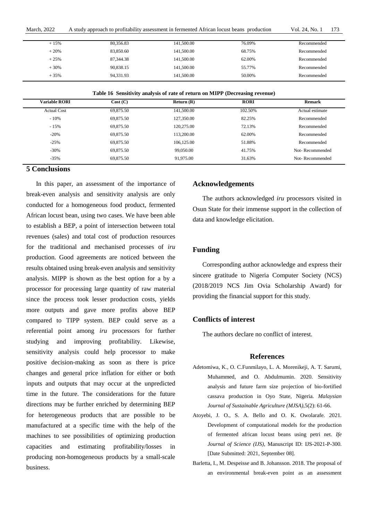| <b>March, 2022</b> | A study approach to profitability assessment in fermented African locust beans production | Vol. 24. No. 1 | 173 |
|--------------------|-------------------------------------------------------------------------------------------|----------------|-----|
|--------------------|-------------------------------------------------------------------------------------------|----------------|-----|

| $+15%$ | 80,356.83 | 141,500.00 | 76.09% | Recommended |
|--------|-----------|------------|--------|-------------|
| $+20%$ | 83.850.60 | 141,500.00 | 68.75% | Recommended |
| $+25%$ | 87,344.38 | 141,500.00 | 62.00% | Recommended |
| $+30%$ | 90,838.15 | 141,500.00 | 55.77% | Recommended |
| $+35%$ | 94,331.93 | 141,500.00 | 50.00% | Recommended |

|  |  | Table 16 Sensitivity analysis of rate of return on MIPP (Decreasing revenue) |  |
|--|--|------------------------------------------------------------------------------|--|
|  |  |                                                                              |  |

| <b>Variable RORI</b> | Cost(C)   | Return(R)  | <b>RORI</b> | <b>Remark</b>   |
|----------------------|-----------|------------|-------------|-----------------|
| <b>Actual Cost</b>   | 69,875.50 | 141,500.00 | 102.50%     | Actual estimate |
| $-10%$               | 69,875.50 | 127,350.00 | 82.25%      | Recommended     |
| $-15%$               | 69,875.50 | 120,275.00 | 72.13%      | Recommended     |
| $-20%$               | 69,875.50 | 113,200.00 | 62.00%      | Recommended     |
| $-25%$               | 69,875.50 | 106,125.00 | 51.88%      | Recommended     |
| $-30%$               | 69,875.50 | 99,050.00  | 41.75%      | Not-Recommended |
| $-35%$               | 69,875.50 | 91.975.00  | 31.63%      | Not-Recommended |

## **5 Conclusions**

In this paper, an assessment of the importance of break-even analysis and sensitivity analysis are only conducted for a homogeneous food product, fermented African locust bean, using two cases. We have been able to establish a BEP, a point of intersection between total revenues (sales) and total cost of production resources for the traditional and mechanised processes of *iru* production. Good agreements are noticed between the results obtained using break-even analysis and sensitivity analysis. MIPP is shown as the best option for a by a processor for processing large quantity of raw material since the process took lesser production costs, yields more outputs and gave more profits above BEP compared to TIPP system. BEP could serve as a referential point among *iru* processors for further studying and improving profitability. Likewise, sensitivity analysis could help processor to make positive decision-making as soon as there is price changes and general price inflation for either or both inputs and outputs that may occur at the unpredicted time in the future. The considerations for the future directions may be further enriched by determining BEP for heterogeneous products that are possible to be manufactured at a specific time with the help of the machines to see possibilities of optimizing production capacities and estimating profitability/losses in producing non-homogeneous products by a small-scale business.

#### **Acknowledgements**

The authors acknowledged *iru* processors visited in Osun State for their immense support in the collection of data and knowledge elicitation.

## **Funding**

Corresponding author acknowledge and express their sincere gratitude to Nigeria Computer Society (NCS) (2018/2019 NCS Jim Ovia Scholarship Award) for providing the financial support for this study.

#### **Conflicts of interest**

The authors declare no conflict of interest.

#### **References**

- Adetomiwa, K., O. C.Funmilayo, L. A. Morenikeji, A. T. Sarumi, Muhammed, and O. Abdulmumin. 2020. Sensitivity analysis and future farm size projection of bio-fortified cassava production in Oyo State, Nigeria. *Malaysian Journal of Sustainable Agriculture (MJSA)*,5(2): 61-66.
- Atoyebi, J. O., S. A. Bello and O. K. Owolarafe. 2021. Development of computational models for the production of fermented african locust beans using petri net. *Ife Journal of Science (IJS),* Manuscript ID: IJS-2021-P-300. [Date Submitted: 2021, September 08].
- Barletta, I., M. Despeisse and B. Johansson. 2018. The proposal of an environmental break-even point as an assessment